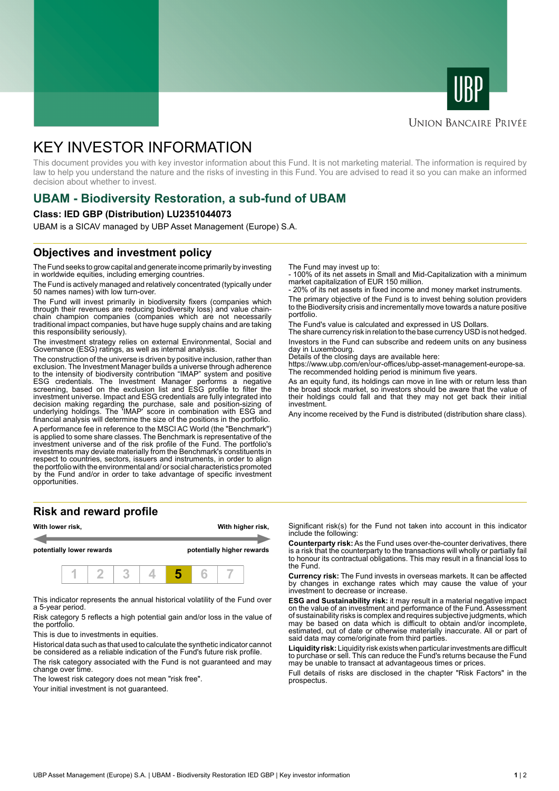



#### **UNION BANCAIRE PRIVÉE**

# KEY INVESTOR INFORMATION

This document provides you with key investor information about this Fund. It is not marketing material. The information is required by law to help you understand the nature and the risks of investing in this Fund. You are advised to read it so you can make an informed decision about whether to invest.

### **UBAM - Biodiversity Restoration, a sub-fund of UBAM**

#### **Class: IED GBP (Distribution) LU2351044073**

UBAM is a SICAV managed by UBP Asset Management (Europe) S.A.

### **Objectives and investment policy**

The Fund seeks to grow capital and generate income primarily by investing in worldwide equities, including emerging countries.

The Fund is actively managed and relatively concentrated (typically under 50 names names) with low turn-over.

The Fund will invest primarily in biodiversity fixers (companies which through their revenues are reducing biodiversity loss) and value chainchain champion companies (companies which are not necessarily traditional impact companies, but have huge supply chains and are taking this responsibility seriously).

The investment strategy relies on external Environmental, Social and Governance (ESG) ratings, as well as internal analysis.

The construction of the universe is driven by positive inclusion, rather than exclusion. The Investment Manager builds a universe through adherence to the intensity of biodiversity contribution "IMAP" system and positive ESG credentials. The Investment Manager performs a negative screening, based on the exclusion list and ESG profile to filter the investment universe. Impact and ESG credentials are fully integrated into decision making regarding the purchase, sale and position-sizing of underlying holdings. The 'IMAP' score in combination with ESG and financial analysis will determine the size of the positions in the portfolio.

A performance fee in reference to the MSCI AC World (the "Benchmark") is applied to some share classes. The Benchmark is representative of the investment universe and of the risk profile of the Fund. The portfolio's investments may deviate materially from the Benchmark's constituents in respect to countries, sectors, issuers and instruments, in order to align the portfolio with the environmental and/ or social characteristics promoted by the Fund and/or in order to take advantage of specific investment opportunities.

#### **Risk and reward profile**



This indicator represents the annual historical volatility of the Fund over a 5-year period.

Risk category 5 reflects a high potential gain and/or loss in the value of the portfolio.

This is due to investments in equities.

Historical data such as that used to calculate the synthetic indicator cannot be considered as a reliable indication of the Fund's future risk profile.

The risk category associated with the Fund is not guaranteed and may change over time.

The lowest risk category does not mean "risk free".

Your initial investment is not guaranteed.

The Fund may invest up to:

- 100% of its net assets in Small and Mid-Capitalization with a minimum market capitalization of EUR 150 million.

20% of its net assets in fixed income and money market instruments.

The primary objective of the Fund is to invest behing solution providers to the Biodiversity crisis and incrementally move towards a nature positive portfolio.

The Fund's value is calculated and expressed in US Dollars.

The share currency risk in relation to the base currency USD is not hedged. Investors in the Fund can subscribe and redeem units on any business day in Luxembourg.

Details of the closing days are available here:

https://www.ubp.com/en/our-offices/ubp-asset-management-europe-sa. The recommended holding period is minimum five years.

As an equity fund, its holdings can move in line with or return less than the broad stock market, so investors should be aware that the value of their holdings could fall and that they may not get back their initial investment.

Any income received by the Fund is distributed (distribution share class).

Significant risk(s) for the Fund not taken into account in this indicator include the following:

**Counterparty risk:** As the Fund uses over-the-counter derivatives, there is a risk that the counterparty to the transactions will wholly or partially fail to honour its contractual obligations. This may result in a financial loss to the Fund.

**Currency risk:** The Fund invests in overseas markets. It can be affected by changes in exchange rates which may cause the value of your investment to decrease or increase.

**ESG and Sustainability risk:** it may result in a material negative impact on the value of an investment and performance of the Fund. Assessment of sustainability risks is complex and requires subjective judgments, which may be based on data which is difficult to obtain and/or incomplete, estimated, out of date or otherwise materially inaccurate. All or part of said data may come/originate from third parties.

**Liquidity risk:** Liquidity risk exists when particular investments are difficult to purchase or sell. This can reduce the Fund's returns because the Fund may be unable to transact at advantageous times or prices.

Full details of risks are disclosed in the chapter "Risk Factors" in the prospectus.